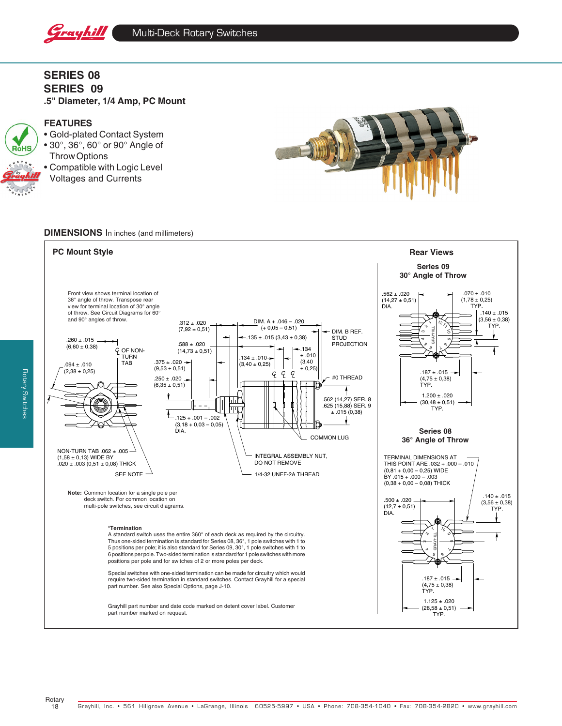

**SERIES 08 SERIES 09 .5" Diameter, 1/4 Amp, PC Mount**

# **FEATURES** RoHS

• Gold-plated Contact System • 30°, 36°, 60° or 90° Angle of Throw Options • Compatible with Logic Level Voltages and Currents



#### **DIMENSIONS** In inches (and millimeters)

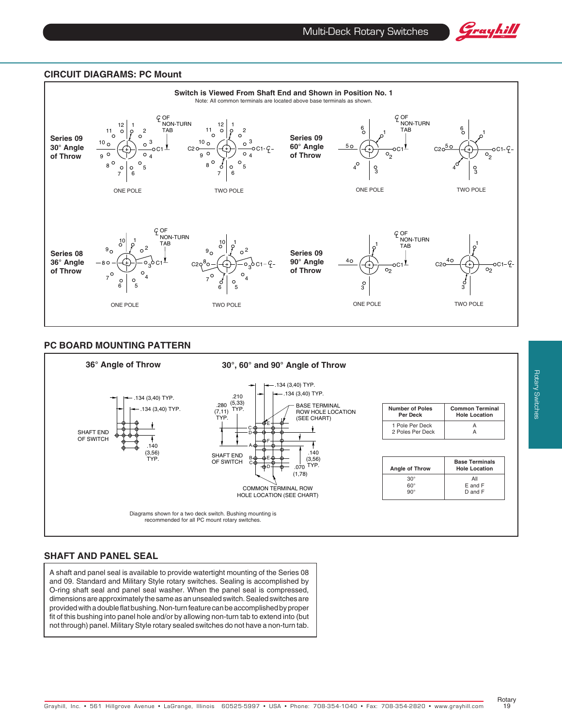

#### **CIRCUIT DIAGRAMS: PC Mount**



#### **PC BOARD MOUNTING PATTERN**



## **SHAFT AND PANEL SEAL**

A shaft and panel seal is available to provide watertight mounting of the Series 08 and 09. Standard and Military Style rotary switches. Sealing is accomplished by O-ring shaft seal and panel seal washer. When the panel seal is compressed, dimensions are approximately the same as an unsealed switch. Sealed switches are provided with a double flat bushing. Non-turn feature can be accomplished by proper fit of this bushing into panel hole and/or by allowing non-turn tab to extend into (but not through) panel. Military Style rotary sealed switches do not have a non-turn tab.

Rotary 19